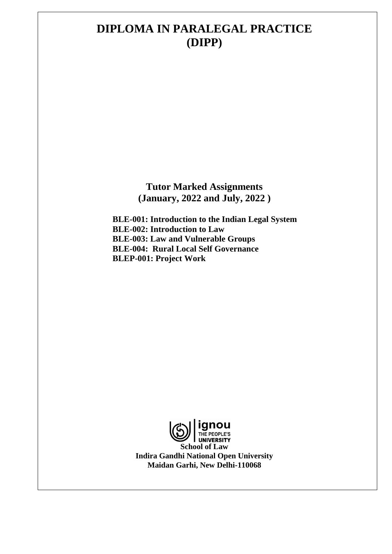# **DIPLOMA IN PARALEGAL PRACTICE (DIPP)**

**Tutor Marked Assignments (January, 2022 and July, 2022 )**

**BLE-001: Introduction to the Indian Legal System BLE-002: Introduction to Law BLE-003: Law and Vulnerable Groups BLE-004: Rural Local Self Governance BLEP-001: Project Work**

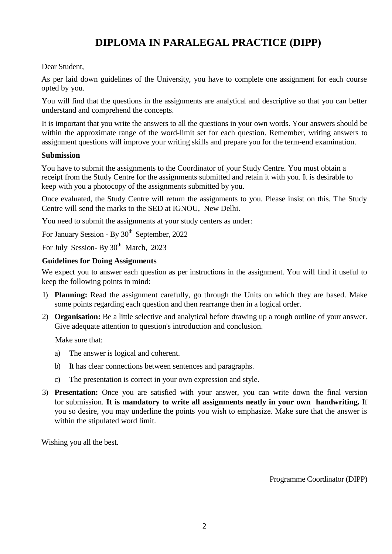# **DIPLOMA IN PARALEGAL PRACTICE (DIPP)**

# Dear Student,

As per laid down guidelines of the University, you have to complete one assignment for each course opted by you.

You will find that the questions in the assignments are analytical and descriptive so that you can better understand and comprehend the concepts.

It is important that you write the answers to all the questions in your own words. Your answers should be within the approximate range of the word-limit set for each question. Remember, writing answers to assignment questions will improve your writing skills and prepare you for the term-end examination.

# **Submission**

You have to submit the assignments to the Coordinator of your Study Centre. You must obtain a receipt from the Study Centre for the assignments submitted and retain it with you. It is desirable to keep with you a photocopy of the assignments submitted by you.

Once evaluated, the Study Centre will return the assignments to you. Please insist on this. The Study Centre will send the marks to the SED at IGNOU, New Delhi.

You need to submit the assignments at your study centers as under:

For January Session - By 30<sup>th</sup> September, 2022

For July Session- By 30<sup>th</sup> March, 2023

# **Guidelines for Doing Assignments**

We expect you to answer each question as per instructions in the assignment. You will find it useful to keep the following points in mind:

- 1) **Planning:** Read the assignment carefully, go through the Units on which they are based. Make some points regarding each question and then rearrange then in a logical order.
- 2) **Organisation:** Be a little selective and analytical before drawing up a rough outline of your answer. Give adequate attention to question's introduction and conclusion.

Make sure that:

- a) The answer is logical and coherent.
- b) It has clear connections between sentences and paragraphs.
- c) The presentation is correct in your own expression and style.
- 3) **Presentation:** Once you are satisfied with your answer, you can write down the final version for submission. **It is mandatory to write all assignments neatly in your own handwriting.** If you so desire, you may underline the points you wish to emphasize. Make sure that the answer is within the stipulated word limit.

Wishing you all the best.

Programme Coordinator (DIPP)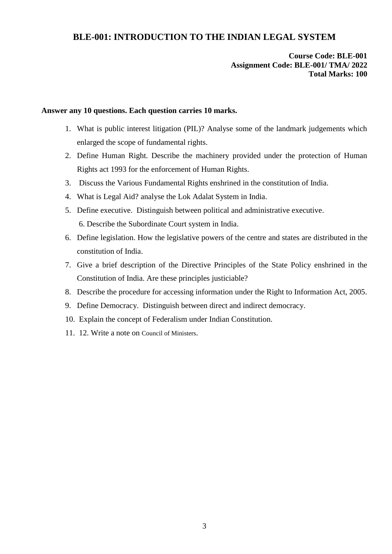# **BLE-001: INTRODUCTION TO THE INDIAN LEGAL SYSTEM**

## **Course Code: BLE-001 Assignment Code: BLE-001/ TMA/ 2022 Total Marks: 100**

#### **Answer any 10 questions. Each question carries 10 marks.**

- 1. What is public interest litigation (PIL)? Analyse some of the landmark judgements which enlarged the scope of fundamental rights.
- 2. Define Human Right. Describe the machinery provided under the protection of Human Rights act 1993 for the enforcement of Human Rights.
- 3. Discuss the Various Fundamental Rights enshrined in the constitution of India.
- 4. What is Legal Aid? analyse the Lok Adalat System in India.
- 5. Define executive. Distinguish between political and administrative executive. 6. Describe the Subordinate Court system in India.
- 6. Define legislation. How the legislative powers of the centre and states are distributed in the constitution of India.
- 7. Give a brief description of the Directive Principles of the State Policy enshrined in the Constitution of India. Are these principles justiciable?
- 8. Describe the procedure for accessing information under the Right to Information Act, 2005.
- 9. Define Democracy. Distinguish between direct and indirect democracy.
- 10. Explain the concept of Federalism under Indian Constitution.
- 11. 12. Write a note on Council of Ministers.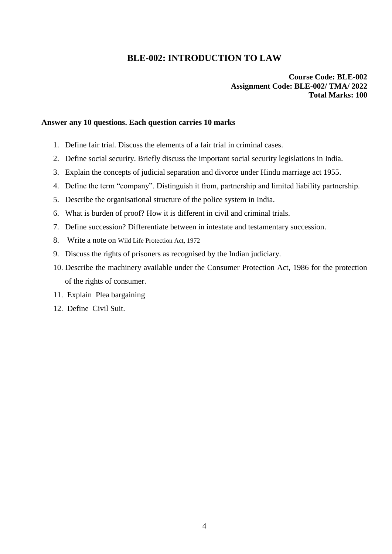# **BLE-002: INTRODUCTION TO LAW**

### **Course Code: BLE-002 Assignment Code: BLE-002/ TMA/ 2022 Total Marks: 100**

#### **Answer any 10 questions. Each question carries 10 marks**

- 1. Define fair trial. Discuss the elements of a fair trial in criminal cases.
- 2. Define social security. Briefly discuss the important social security legislations in India.
- 3. Explain the concepts of judicial separation and divorce under Hindu marriage act 1955.
- 4. Define the term "company". Distinguish it from, partnership and limited liability partnership.
- 5. Describe the organisational structure of the police system in India.
- 6. What is burden of proof? How it is different in civil and criminal trials.
- 7. Define succession? Differentiate between in intestate and testamentary succession.
- 8. Write a note on Wild Life Protection Act, 1972
- 9. Discuss the rights of prisoners as recognised by the Indian judiciary.
- 10. Describe the machinery available under the Consumer Protection Act, 1986 for the protection of the rights of consumer.
- 11. Explain Plea bargaining
- 12. Define Civil Suit.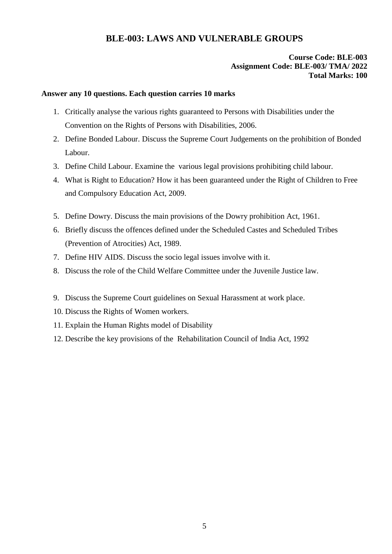# **BLE-003: LAWS AND VULNERABLE GROUPS**

### **Course Code: BLE-003 Assignment Code: BLE-003/ TMA/ 2022 Total Marks: 100**

#### **Answer any 10 questions. Each question carries 10 marks**

- 1. Critically analyse the various rights guaranteed to Persons with Disabilities under the Convention on the Rights of Persons with Disabilities, 2006.
- 2. Define Bonded Labour. Discuss the Supreme Court Judgements on the prohibition of Bonded Labour.
- 3. Define Child Labour. Examine the various legal provisions prohibiting child labour.
- 4. What is Right to Education? How it has been guaranteed under the Right of Children to Free and Compulsory Education Act, 2009.
- 5. Define Dowry. Discuss the main provisions of the Dowry prohibition Act, 1961.
- 6. Briefly discuss the offences defined under the Scheduled Castes and Scheduled Tribes (Prevention of Atrocities) Act, 1989.
- 7. Define HIV AIDS. Discuss the socio legal issues involve with it.
- 8. Discuss the role of the Child Welfare Committee under the Juvenile Justice law.
- 9. Discuss the Supreme Court guidelines on Sexual Harassment at work place.
- 10. Discuss the Rights of Women workers.
- 11. Explain the Human Rights model of Disability
- 12. Describe the key provisions of the Rehabilitation Council of India Act, 1992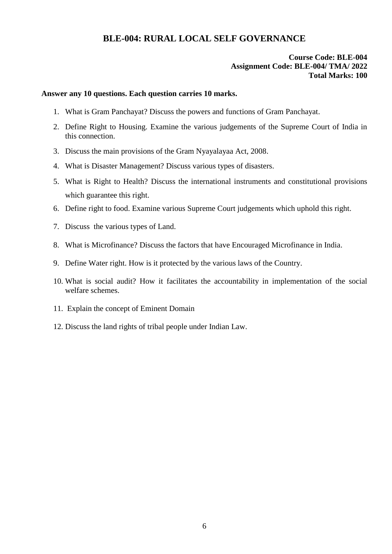# **BLE-004: RURAL LOCAL SELF GOVERNANCE**

### **Course Code: BLE-004 Assignment Code: BLE-004/ TMA/ 2022 Total Marks: 100**

#### **Answer any 10 questions. Each question carries 10 marks.**

- 1. What is Gram Panchayat? Discuss the powers and functions of Gram Panchayat.
- 2. Define Right to Housing. Examine the various judgements of the Supreme Court of India in this connection.
- 3. Discuss the main provisions of the Gram Nyayalayaa Act, 2008.
- 4. What is Disaster Management? Discuss various types of disasters.
- 5. What is Right to Health? Discuss the international instruments and constitutional provisions which guarantee this right.
- 6. Define right to food. Examine various Supreme Court judgements which uphold this right.
- 7. Discuss the various types of Land.
- 8. What is Microfinance? Discuss the factors that have Encouraged Microfinance in India.
- 9. Define Water right. How is it protected by the various laws of the Country.
- 10. What is social audit? How it facilitates the accountability in implementation of the social welfare schemes.
- 11. Explain the concept of Eminent Domain
- 12. Discuss the land rights of tribal people under Indian Law.